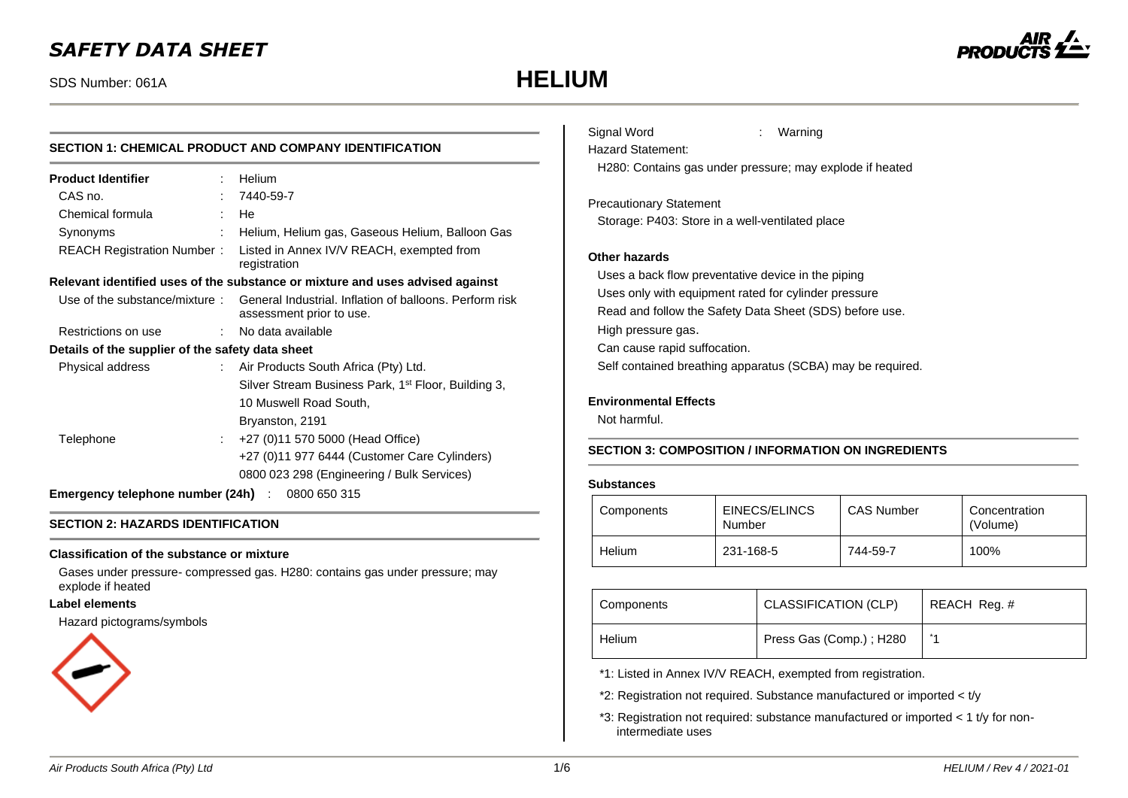# *SAFETY DATA SHEET*

# SDS Number: 061A **HELIUM**



# **SECTION 1: CHEMICAL PRODUCT AND COMPANY IDENTIFICATION**

| <b>Product Identifier</b>                              | Helium                                                                                                            |
|--------------------------------------------------------|-------------------------------------------------------------------------------------------------------------------|
| CAS no.                                                | 7440-59-7                                                                                                         |
| Chemical formula<br>t.                                 | He.                                                                                                               |
| Synonyms                                               | Helium, Helium gas, Gaseous Helium, Balloon Gas                                                                   |
|                                                        | REACH Registration Number: Listed in Annex IV/V REACH, exempted from<br>registration                              |
|                                                        | Relevant identified uses of the substance or mixture and uses advised against                                     |
|                                                        | Use of the substance/mixture: General Industrial, Inflation of balloons, Perform risk<br>assessment prior to use. |
| Restrictions on use                                    | : No data available                                                                                               |
| Details of the supplier of the safety data sheet       |                                                                                                                   |
| Physical address                                       | : Air Products South Africa (Pty) Ltd.                                                                            |
|                                                        | Silver Stream Business Park, 1 <sup>st</sup> Floor, Building 3,                                                   |
|                                                        | 10 Muswell Road South,                                                                                            |
|                                                        | Bryanston, 2191                                                                                                   |
| Telephone                                              | +27 (0)11 570 5000 (Head Office)<br>$\mathcal{L}_{\mathrm{max}}$                                                  |
|                                                        | +27 (0)11 977 6444 (Customer Care Cylinders)                                                                      |
|                                                        | 0800 023 298 (Engineering / Bulk Services)                                                                        |
| <b>Emergency telephone number (24h)</b> : 0800 650 315 |                                                                                                                   |

**SECTION 2: HAZARDS IDENTIFICATION**

#### **Classification of the substance or mixture**

Gases under pressure- compressed gas. H280: contains gas under pressure; may explode if heated

## **Label elements**

Hazard pictograms/symbols



| Signal Word<br>Hazard Statement:<br>H280: Contains gas under pressure; may explode if heated                                                                                                                                                 | : Warning                                                  |
|----------------------------------------------------------------------------------------------------------------------------------------------------------------------------------------------------------------------------------------------|------------------------------------------------------------|
| <b>Precautionary Statement</b><br>Storage: P403: Store in a well-ventilated place                                                                                                                                                            |                                                            |
| Other hazards<br>Uses a back flow preventative device in the piping<br>Uses only with equipment rated for cylinder pressure<br>Read and follow the Safety Data Sheet (SDS) before use.<br>High pressure gas.<br>Can cause rapid suffocation. | Self contained breathing apparatus (SCBA) may be required. |
| <b>Environmental Effects</b>                                                                                                                                                                                                                 |                                                            |

Not harmful.

# **SECTION 3: COMPOSITION / INFORMATION ON INGREDIENTS**

#### **Substances**

| Components | EINECS/ELINCS<br>Number | <b>CAS Number</b> | Concentration<br>(Volume) |
|------------|-------------------------|-------------------|---------------------------|
| Helium     | 231-168-5               | 744-59-7          | 100%                      |

| Components    | <b>CLASSIFICATION (CLP)</b> | REACH Reg.# |
|---------------|-----------------------------|-------------|
| <b>Helium</b> | Press Gas (Comp.); H280     |             |

\*1: Listed in Annex IV/V REACH, exempted from registration.

\*2: Registration not required. Substance manufactured or imported < t/y

\*3: Registration not required: substance manufactured or imported < 1 t/y for nonintermediate uses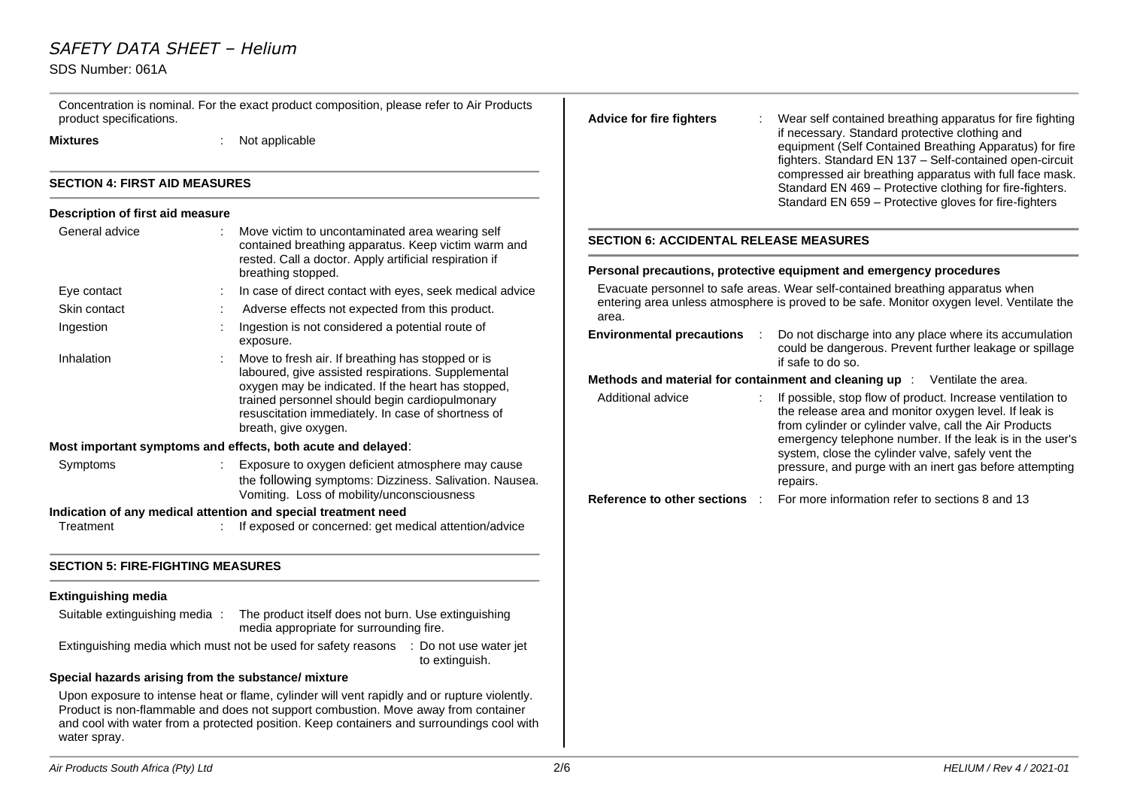# *SAFETY DATA SHEET – Helium*

# SDS Number: 061A

Concentration is nominal. For the exact product composition, please refer to Air Products product specifications. **Mixtures** : Not applicable **SECTION 4: FIRST AID MEASURES Description of first aid measure** General advice : Move victim to uncontaminated area wearing self contained breathing apparatus. Keep victim warm and rested. Call a doctor. Apply artificial respiration if breathing stopped. Eye contact : In case of direct contact with eyes, seek medical advice Skin contact **in the Contact in the Contact Contact in the Adverse effects not expected from this product.** Ingestion : Ingestion is not considered a potential route of exposure. Inhalation : Move to fresh air. If breathing has stopped or is laboured, give assisted respirations. Supplemental oxygen may be indicated. If the heart has stopped, trained personnel should begin cardiopulmonary resuscitation immediately. In case of shortness of breath, give oxygen. **Most important symptoms and effects, both acute and delayed**: Symptoms : Exposure to oxygen deficient atmosphere may cause the following symptoms: Dizziness. Salivation. Nausea. Vomiting. Loss of mobility/unconsciousness **Indication of any medical attention and special treatment need** Treatment : If exposed or concerned: get medical attention/advice **SECTION 5: FIRE-FIGHTING MEASURES Extinguishing media** Suitable extinguishing media : The product itself does not burn. Use extinguishing media appropriate for surrounding fire. Extinguishing media which must not be used for safety reasons : Do not use water jet to extinguish. **Special hazards arising from the substance/ mixture** Upon exposure to intense heat or flame, cylinder will vent rapidly and or rupture violently. Product is non-flammable and does not support combustion. Move away from container and cool with water from a protected position. Keep containers and surroundings cool with water spray. **Advice for fire fighters** : Wear self contained breathing apparatus for fire fighting if necessary. Standard protective clothing and equipment (Self Contained Breathing Apparatus) for fire fighters. Standard EN 137 – Self-contained open-circuit compressed air breathing apparatus with full face mask. Standard EN 469 – Protective clothing for fire-fighters. Standard EN 659 – Protective gloves for fire-fighters **SECTION 6: ACCIDENTAL RELEASE MEASURES Personal precautions, protective equipment and emergency procedures** Evacuate personnel to safe areas. Wear self-contained breathing apparatus when entering area unless atmosphere is proved to be safe. Monitor oxygen level. Ventilate the area. **Environmental precautions** : Do not discharge into any place where its accumulation could be dangerous. Prevent further leakage or spillage if safe to do so. **Methods and material for containment and cleaning up** : Ventilate the area. Additional advice : If possible, stop flow of product. Increase ventilation to the release area and monitor oxygen level. If leak is from cylinder or cylinder valve, call the Air Products emergency telephone number. If the leak is in the user's system, close the cylinder valve, safely vent the pressure, and purge with an inert gas before attempting repairs. **Reference to other sections** : For more information refer to sections 8 and 13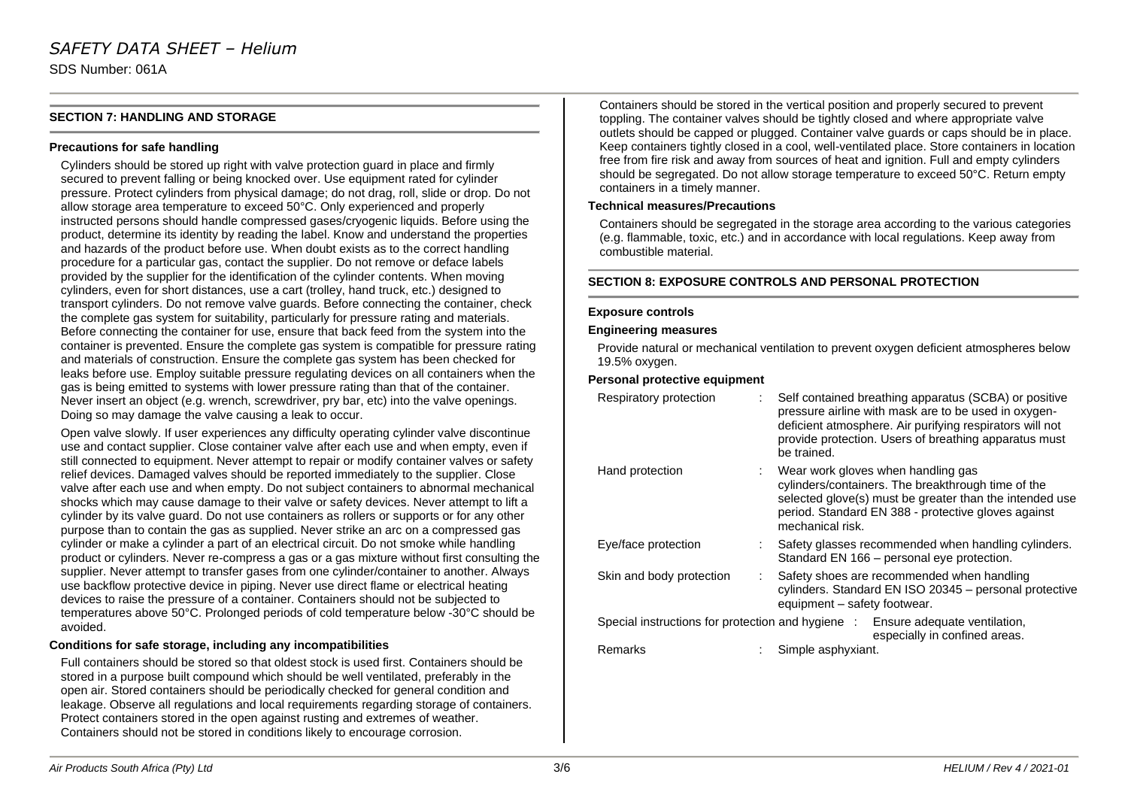# **SECTION 7: HANDLING AND STORAGE**

## **Precautions for safe handling**

Cylinders should be stored up right with valve protection guard in place and firmly secured to prevent falling or being knocked over. Use equipment rated for cylinder pressure. Protect cylinders from physical damage; do not drag, roll, slide or drop. Do not allow storage area temperature to exceed 50°C. Only experienced and properly instructed persons should handle compressed gases/cryogenic liquids. Before using the product, determine its identity by reading the label. Know and understand the properties and hazards of the product before use. When doubt exists as to the correct handling procedure for a particular gas, contact the supplier. Do not remove or deface labels provided by the supplier for the identification of the cylinder contents. When moving cylinders, even for short distances, use a cart (trolley, hand truck, etc.) designed to transport cylinders. Do not remove valve guards. Before connecting the container, check the complete gas system for suitability, particularly for pressure rating and materials. Before connecting the container for use, ensure that back feed from the system into the container is prevented. Ensure the complete gas system is compatible for pressure rating and materials of construction. Ensure the complete gas system has been checked for leaks before use. Employ suitable pressure regulating devices on all containers when the gas is being emitted to systems with lower pressure rating than that of the container. Never insert an object (e.g. wrench, screwdriver, pry bar, etc) into the valve openings. Doing so may damage the valve causing a leak to occur.

Open valve slowly. If user experiences any difficulty operating cylinder valve discontinue use and contact supplier. Close container valve after each use and when empty, even if still connected to equipment. Never attempt to repair or modify container valves or safety relief devices. Damaged valves should be reported immediately to the supplier. Close valve after each use and when empty. Do not subject containers to abnormal mechanical shocks which may cause damage to their valve or safety devices. Never attempt to lift a cylinder by its valve guard. Do not use containers as rollers or supports or for any other purpose than to contain the gas as supplied. Never strike an arc on a compressed gas cylinder or make a cylinder a part of an electrical circuit. Do not smoke while handling product or cylinders. Never re-compress a gas or a gas mixture without first consulting the supplier. Never attempt to transfer gases from one cylinder/container to another. Always use backflow protective device in piping. Never use direct flame or electrical heating devices to raise the pressure of a container. Containers should not be subjected to temperatures above 50°C. Prolonged periods of cold temperature below -30°C should be avoided.

#### **Conditions for safe storage, including any incompatibilities**

Full containers should be stored so that oldest stock is used first. Containers should be stored in a purpose built compound which should be well ventilated, preferably in the open air. Stored containers should be periodically checked for general condition and leakage. Observe all regulations and local requirements regarding storage of containers. Protect containers stored in the open against rusting and extremes of weather. Containers should not be stored in conditions likely to encourage corrosion.

Containers should be stored in the vertical position and properly secured to prevent toppling. The container valves should be tightly closed and where appropriate valve outlets should be capped or plugged. Container valve guards or caps should be in place. Keep containers tightly closed in a cool, well-ventilated place. Store containers in location free from fire risk and away from sources of heat and ignition. Full and empty cylinders should be segregated. Do not allow storage temperature to exceed 50°C. Return empty containers in a timely manner.

#### **Technical measures/Precautions**

Containers should be segregated in the storage area according to the various categories (e.g. flammable, toxic, etc.) and in accordance with local regulations. Keep away from combustible material.

#### **SECTION 8: EXPOSURE CONTROLS AND PERSONAL PROTECTION**

#### **Exposure controls**

#### **Engineering measures**

Provide natural or mechanical ventilation to prevent oxygen deficient atmospheres below 19.5% oxygen.

#### **Personal protective equipment**

| Respiratory protection   | Self contained breathing apparatus (SCBA) or positive<br>pressure airline with mask are to be used in oxygen-<br>deficient atmosphere. Air purifying respirators will not<br>provide protection. Users of breathing apparatus must<br>be trained. |
|--------------------------|---------------------------------------------------------------------------------------------------------------------------------------------------------------------------------------------------------------------------------------------------|
| Hand protection          | : Wear work gloves when handling gas<br>cylinders/containers. The breakthrough time of the<br>selected glove(s) must be greater than the intended use<br>period. Standard EN 388 - protective gloves against<br>mechanical risk.                  |
| Eye/face protection      | Safety glasses recommended when handling cylinders.<br>Standard EN 166 - personal eye protection.                                                                                                                                                 |
| Skin and body protection | Safety shoes are recommended when handling<br>cylinders. Standard EN ISO 20345 - personal protective<br>equipment - safety footwear.                                                                                                              |
|                          | Special instructions for protection and hygiene : Ensure adequate ventilation,                                                                                                                                                                    |
| Remarks                  | especially in confined areas.<br>Simple asphyxiant.                                                                                                                                                                                               |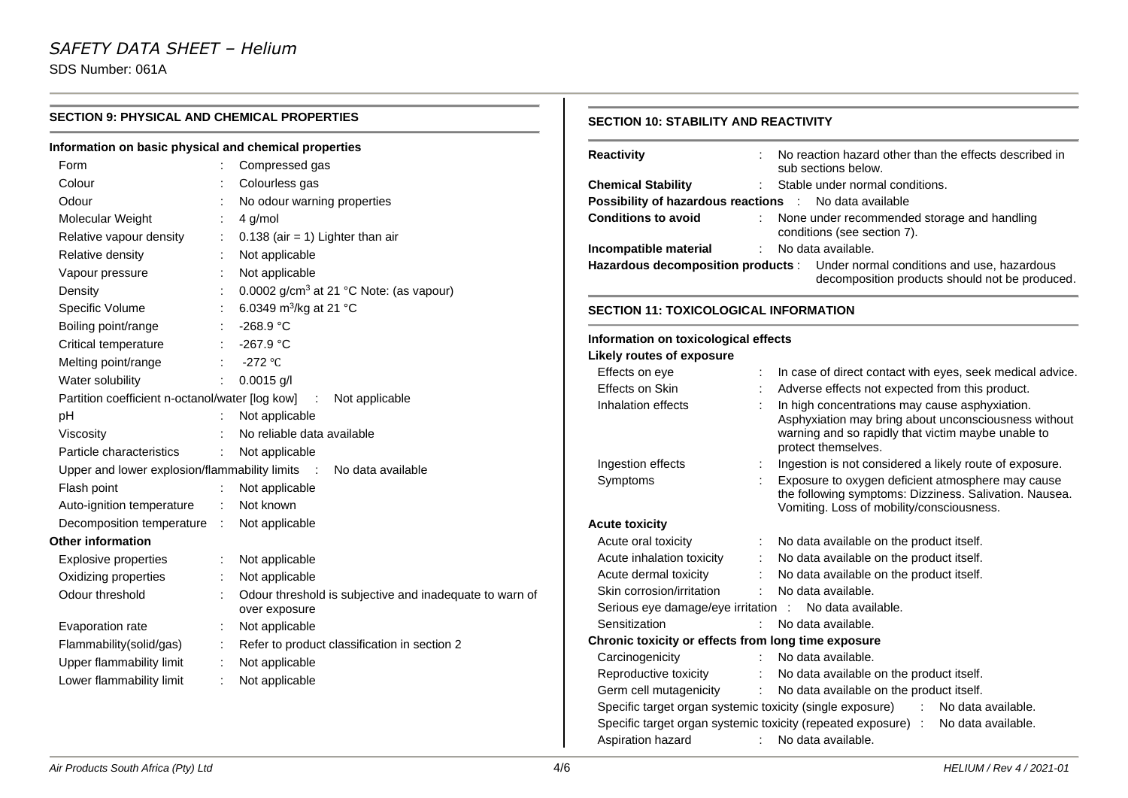# *SAFETY DATA SHEET – Helium*

SDS Number: 061A

 $\sim$ 

| <b>SECTION 9: PHYSICAL AND CHEMICAL PROPERTIES</b>    |           |                                                         | <b>SECTION 10: STABILITY AND REACTIVITY</b>                   |  |                                                                                                        |
|-------------------------------------------------------|-----------|---------------------------------------------------------|---------------------------------------------------------------|--|--------------------------------------------------------------------------------------------------------|
| Information on basic physical and chemical properties |           |                                                         | <b>Reactivity</b>                                             |  | No reaction hazard other than the effects described in                                                 |
| Form                                                  |           | Compressed gas                                          |                                                               |  | sub sections below.                                                                                    |
| Colour                                                |           | Colourless gas                                          | <b>Chemical Stability</b>                                     |  | Stable under normal conditions.                                                                        |
| Odour                                                 |           | No odour warning properties                             | <b>Possibility of hazardous reactions :</b> No data available |  |                                                                                                        |
| Molecular Weight                                      |           | 4 g/mol                                                 | <b>Conditions to avoid</b>                                    |  | None under recommended storage and handling                                                            |
| Relative vapour density                               |           | $0.138$ (air = 1) Lighter than air                      |                                                               |  | conditions (see section 7).                                                                            |
| Relative density                                      |           | Not applicable                                          | Incompatible material                                         |  | No data available.                                                                                     |
| Vapour pressure                                       |           | Not applicable                                          | Hazardous decomposition products :                            |  | Under normal conditions and use, hazardous<br>decomposition products should not be produced.           |
| Density                                               |           | 0.0002 g/cm <sup>3</sup> at 21 °C Note: (as vapour)     |                                                               |  |                                                                                                        |
| Specific Volume                                       |           | 6.0349 m <sup>3</sup> /kg at 21 °C                      | <b>SECTION 11: TOXICOLOGICAL INFORMATION</b>                  |  |                                                                                                        |
| Boiling point/range                                   |           | -268.9 °C                                               |                                                               |  |                                                                                                        |
| Critical temperature                                  |           | $-267.9 °C$                                             | Information on toxicological effects                          |  |                                                                                                        |
| Melting point/range                                   |           | -272 $°C$                                               | Likely routes of exposure                                     |  |                                                                                                        |
| Water solubility                                      |           | $0.0015$ g/l                                            | Effects on eye                                                |  | In case of direct contact with eyes, seek medical advice.                                              |
| Partition coefficient n-octanol/water [log kow]       |           | Not applicable                                          | Effects on Skin                                               |  | Adverse effects not expected from this product.                                                        |
| pH                                                    |           | Not applicable                                          | Inhalation effects                                            |  | In high concentrations may cause asphyxiation.<br>Asphyxiation may bring about unconsciousness without |
| Viscosity                                             |           | No reliable data available                              |                                                               |  | warning and so rapidly that victim maybe unable to                                                     |
| Particle characteristics                              |           | Not applicable                                          |                                                               |  | protect themselves.                                                                                    |
| Upper and lower explosion/flammability limits         |           | No data available<br>$\sim$                             | Ingestion effects                                             |  | Ingestion is not considered a likely route of exposure.                                                |
| Flash point                                           |           | Not applicable                                          | Symptoms                                                      |  | Exposure to oxygen deficient atmosphere may cause                                                      |
| Auto-ignition temperature                             |           | Not known                                               |                                                               |  | the following symptoms: Dizziness. Salivation. Nausea.<br>Vomiting. Loss of mobility/consciousness.    |
| Decomposition temperature                             | $\sim$ 1. | Not applicable                                          | <b>Acute toxicity</b>                                         |  |                                                                                                        |
| <b>Other information</b>                              |           |                                                         | Acute oral toxicity                                           |  | No data available on the product itself.                                                               |
| <b>Explosive properties</b>                           |           | Not applicable                                          | Acute inhalation toxicity                                     |  | No data available on the product itself.                                                               |
| Oxidizing properties                                  |           | Not applicable                                          | Acute dermal toxicity                                         |  | No data available on the product itself.                                                               |
| Odour threshold                                       |           | Odour threshold is subjective and inadequate to warn of | Skin corrosion/irritation                                     |  | No data available.                                                                                     |
|                                                       |           | over exposure                                           | Serious eye damage/eye irritation : No data available.        |  |                                                                                                        |
| Evaporation rate                                      |           | Not applicable                                          | Sensitization                                                 |  | No data available.                                                                                     |
| Flammability(solid/gas)                               |           | Refer to product classification in section 2            | Chronic toxicity or effects from long time exposure           |  |                                                                                                        |
| Upper flammability limit                              |           | Not applicable                                          | Carcinogenicity                                               |  | No data available.                                                                                     |
| Lower flammability limit                              |           | Not applicable                                          | Reproductive toxicity                                         |  | No data available on the product itself.                                                               |
|                                                       |           |                                                         | Germ cell mutagenicity                                        |  | No data available on the product itself.                                                               |
|                                                       |           |                                                         | Specific target organ systemic toxicity (single exposure)     |  | No data available.                                                                                     |
|                                                       |           |                                                         | Specific target organ systemic toxicity (repeated exposure) : |  | No data available.                                                                                     |
|                                                       |           |                                                         | Aspiration hazard                                             |  | No data available.                                                                                     |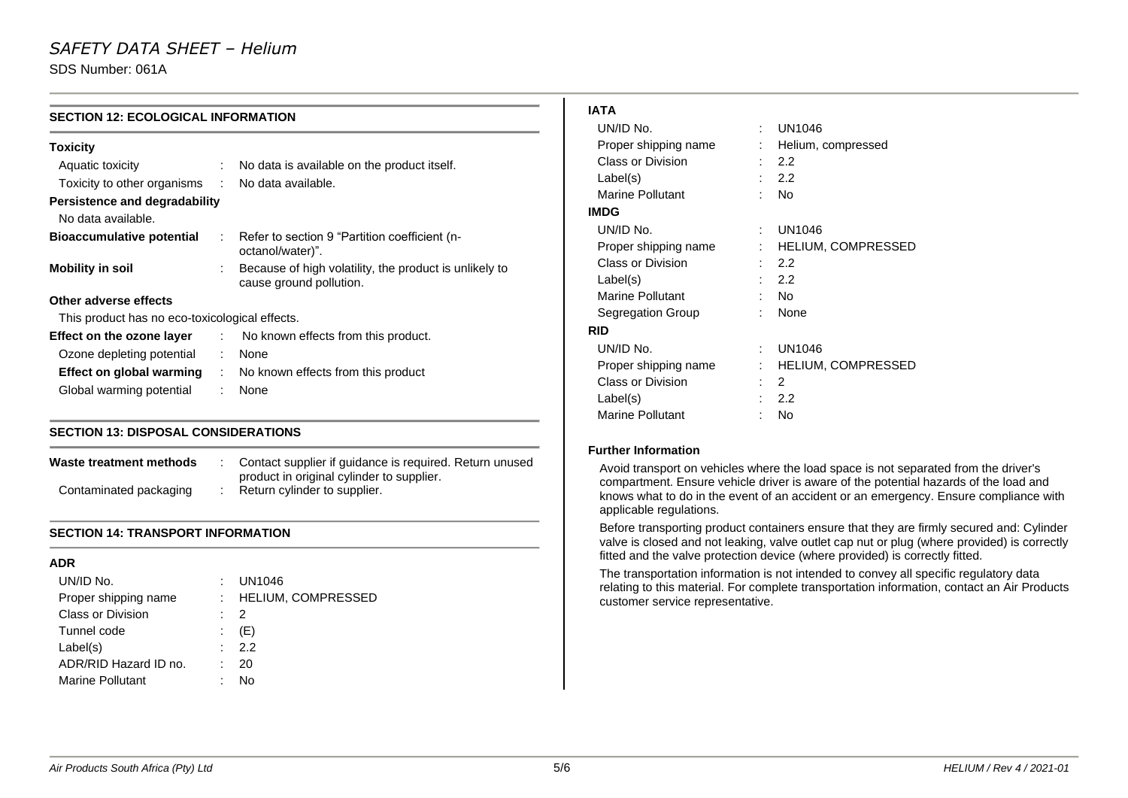# *SAFETY DATA SHEET – Helium*

SDS Number: 061A

| <b>SECTION 12: ECOLOGICAL INFORMATION</b>      |                | <b>IATA</b>                                            |                      |        |                         |  |  |
|------------------------------------------------|----------------|--------------------------------------------------------|----------------------|--------|-------------------------|--|--|
|                                                |                | UN/ID No.                                              |                      | UN1046 |                         |  |  |
| <b>Toxicity</b>                                |                |                                                        | Proper shipping name |        | Helium, compressed      |  |  |
| Aquatic toxicity                               |                | : No data is available on the product itself.          | Class or Division    | ÷.     | 2.2                     |  |  |
| Toxicity to other organisms                    | ÷              | No data available.                                     | Label(s)             | ÷.     | 2.2                     |  |  |
| <b>Persistence and degradability</b>           |                |                                                        | Marine Pollutant     | ÷.     | No.                     |  |  |
| No data available.                             |                |                                                        | <b>IMDG</b>          |        |                         |  |  |
| <b>Bioaccumulative potential</b>               |                | Refer to section 9 "Partition coefficient (n-          | UN/ID No.            |        | UN1046                  |  |  |
|                                                |                | octanol/water)".                                       | Proper shipping name |        | <b>HELIUM, COMPRESS</b> |  |  |
| <b>Mobility in soil</b>                        |                | Because of high volatility, the product is unlikely to | Class or Division    | ÷.     | 2.2                     |  |  |
|                                                |                | cause ground pollution.                                | Label(s)             | ÷.     | 2.2                     |  |  |
| Other adverse effects                          |                |                                                        | Marine Pollutant     | ÷.     | No.                     |  |  |
| This product has no eco-toxicological effects. |                |                                                        | Segregation Group    | ÷      | None                    |  |  |
| Effect on the ozone layer                      | $\mathbb{R}^n$ | No known effects from this product.                    | <b>RID</b>           |        |                         |  |  |
| Ozone depleting potential                      | ÷              | None                                                   | UN/ID No.            |        | UN1046                  |  |  |
| <b>Effect on global warming</b>                | $\mathbb{R}^n$ | No known effects from this product                     | Proper shipping name |        | <b>HELIUM, COMPRESS</b> |  |  |
|                                                |                |                                                        | Class or Division    | ÷.     | 2                       |  |  |
| Global warming potential                       |                | None                                                   | Label(s)             |        | 2.2                     |  |  |

 $\mathbf{u}$ 

## **SECTION 13: DISPOSAL CONSIDERATIONS**

| Waste treatment methods | Contact supplier if guidance is required. Return unused |
|-------------------------|---------------------------------------------------------|
|                         | product in original cylinder to supplier.               |
| Contaminated packaging  | Return cylinder to supplier.                            |

# **SECTION 14: TRANSPORT INFORMATION**

| AUR                   |    |                      |  |
|-----------------------|----|----------------------|--|
| UN/ID No.             |    | UN1046               |  |
| Proper shipping name  |    | : HELIUM, COMPRESSED |  |
| Class or Division     |    | $\therefore$ 2       |  |
| Tunnel code           | t. | (E)                  |  |
| Label(s)              |    | : 2.2                |  |
| ADR/RID Hazard ID no. |    | 20                   |  |
| Marine Pollutant      |    | N٥                   |  |
|                       |    |                      |  |

| UN/ID No.                |    | <b>UN1046</b>             |
|--------------------------|----|---------------------------|
| Proper shipping name     |    | Helium, compressed        |
| Class or Division        |    | 2.2                       |
| Label(s)                 |    | 2.2                       |
| Marine Pollutant         | t  | No                        |
| 1DG                      |    |                           |
| UN/ID No.                | t. | UN1046                    |
| Proper shipping name     |    | <b>HELIUM, COMPRESSED</b> |
| Class or Division        |    | 2.2                       |
| Label(s)                 |    | 2.2                       |
| Marine Pollutant         |    | No                        |
| Segregation Group        | t. | None                      |
| ID                       |    |                           |
| UN/ID No.                |    | <b>UN1046</b>             |
| Proper shipping name     |    | HELIUM, COMPRESSED        |
| <b>Class or Division</b> |    | 2                         |
| Label(s)                 |    | 2.2                       |
| Marine Pollutant         |    | No                        |

#### **Further Information**

Avoid transport on vehicles where the load space is not separated from the driver's compartment. Ensure vehicle driver is aware of the potential hazards of the load and knows what to do in the event of an accident or an emergency. Ensure compliance with applicable regulations.

Before transporting product containers ensure that they are firmly secured and: Cylinder valve is closed and not leaking, valve outlet cap nut or plug (where provided) is correctly fitted and the valve protection device (where provided) is correctly fitted.

The transportation information is not intended to convey all specific regulatory data relating to this material. For complete transportation information, contact an Air Products customer service representative.

**ADR**